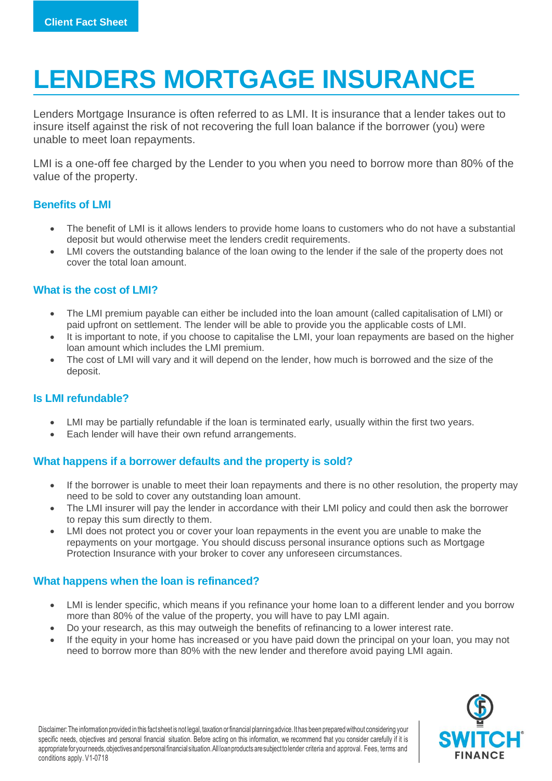# **LENDERS MORTGAGE INSURANCE**

Lenders Mortgage Insurance is often referred to as LMI. It is insurance that a lender takes out to insure itself against the risk of not recovering the full loan balance if the borrower (you) were unable to meet loan repayments.

LMI is a one-off fee charged by the Lender to you when you need to borrow more than 80% of the value of the property.

## **Benefits of LMI**

- The benefit of LMI is it allows lenders to provide home loans to customers who do not have a substantial deposit but would otherwise meet the lenders credit requirements.
- LMI covers the outstanding balance of the loan owing to the lender if the sale of the property does not cover the total loan amount.

## **What is the cost of LMI?**

- The LMI premium payable can either be included into the loan amount (called capitalisation of LMI) or paid upfront on settlement. The lender will be able to provide you the applicable costs of LMI.
- It is important to note, if you choose to capitalise the LMI, your loan repayments are based on the higher loan amount which includes the LMI premium.
- The cost of LMI will vary and it will depend on the lender, how much is borrowed and the size of the deposit.

## **Is LMI refundable?**

- LMI may be partially refundable if the loan is terminated early, usually within the first two years.
- Each lender will have their own refund arrangements.

## **What happens if a borrower defaults and the property is sold?**

- If the borrower is unable to meet their loan repayments and there is no other resolution, the property may need to be sold to cover any outstanding loan amount.
- The LMI insurer will pay the lender in accordance with their LMI policy and could then ask the borrower to repay this sum directly to them.
- LMI does not protect you or cover your loan repayments in the event you are unable to make the repayments on your mortgage. You should discuss personal insurance options such as Mortgage Protection Insurance with your broker to cover any unforeseen circumstances.

## **What happens when the loan is refinanced?**

- LMI is lender specific, which means if you refinance your home loan to a different lender and you borrow more than 80% of the value of the property, you will have to pay LMI again.
- Do your research, as this may outweigh the benefits of refinancing to a lower interest rate.
- If the equity in your home has increased or you have paid down the principal on your loan, you may not need to borrow more than 80% with the new lender and therefore avoid paying LMI again.